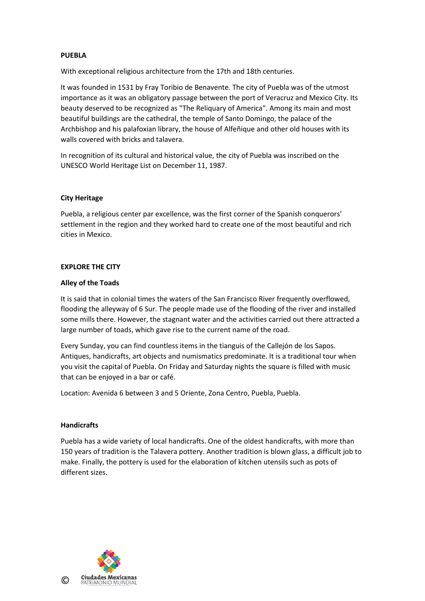## **PUEBLA**

With exceptional religious architecture from the 17th and 18th centuries.

It was founded in 1531 by Fray Toribio de Benavente. The city of Puebla was of the utmost importance as it was an obligatory passage between the port of Veracruz and Mexico City. Its beauty deserved to be recognized as "The Reliquary of America". Among its main and most beautiful buildings are the cathedral, the temple of Santo Domingo, the palace of the Archbishop and his palafoxian library, the house of Alfeñique and other old houses with its walls covered with bricks and talavera.

In recognition of its cultural and historical value, the city of Puebla was inscribed on the UNESCO World Heritage List on December 11, 1987.

### **City Heritage**

Puebla, a religious center par excellence, was the first corner of the Spanish conquerors' settlement in the region and they worked hard to create one of the most beautiful and rich cities in Mexico.

### **EXPLORE THE CITY**

### **Alley of the Toads**

It is said that in colonial times the waters of the San Francisco River frequently overflowed, flooding the alleyway of 6 Sur. The people made use of the flooding of the river and installed some mills there. However, the stagnant water and the activities carried out there attracted a large number of toads, which gave rise to the current name of the road.

Every Sunday, you can find countless items in the tianguis of the Callejón de los Sapos. Antiques, handicrafts, art objects and numismatics predominate. It is a traditional tour when you visit the capital of Puebla. On Friday and Saturday nights the square is filled with music that can be enjoyed in a bar or café.

Location: Avenida 6 between 3 and 5 Oriente, Zona Centro, Puebla, Puebla.

### **Handicrafts**

Puebla has a wide variety of local handicrafts. One of the oldest handicrafts, with more than 150 years of tradition is the Talavera pottery. Another tradition is blown glass, a difficult job to make. Finally, the pottery is used for the elaboration of kitchen utensils such as pots of different sizes.

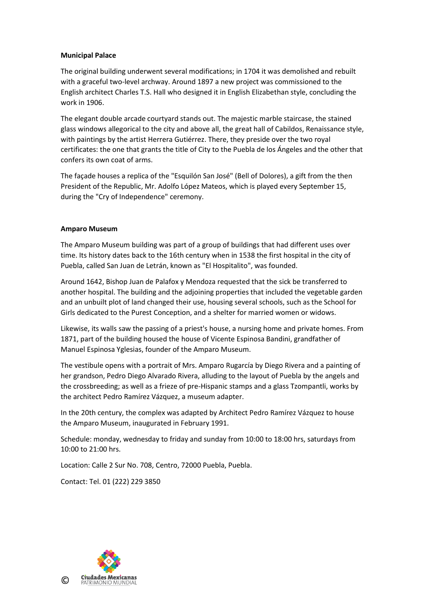## **Municipal Palace**

The original building underwent several modifications; in 1704 it was demolished and rebuilt with a graceful two-level archway. Around 1897 a new project was commissioned to the English architect Charles T.S. Hall who designed it in English Elizabethan style, concluding the work in 1906.

The elegant double arcade courtyard stands out. The majestic marble staircase, the stained glass windows allegorical to the city and above all, the great hall of Cabildos, Renaissance style, with paintings by the artist Herrera Gutiérrez. There, they preside over the two royal certificates: the one that grants the title of City to the Puebla de los Ángeles and the other that confers its own coat of arms.

The façade houses a replica of the "Esquilón San José" (Bell of Dolores), a gift from the then President of the Republic, Mr. Adolfo López Mateos, which is played every September 15, during the "Cry of Independence" ceremony.

## **Amparo Museum**

The Amparo Museum building was part of a group of buildings that had different uses over time. Its history dates back to the 16th century when in 1538 the first hospital in the city of Puebla, called San Juan de Letrán, known as "El Hospitalito", was founded.

Around 1642, Bishop Juan de Palafox y Mendoza requested that the sick be transferred to another hospital. The building and the adjoining properties that included the vegetable garden and an unbuilt plot of land changed their use, housing several schools, such as the School for Girls dedicated to the Purest Conception, and a shelter for married women or widows.

Likewise, its walls saw the passing of a priest's house, a nursing home and private homes. From 1871, part of the building housed the house of Vicente Espinosa Bandini, grandfather of Manuel Espinosa Yglesias, founder of the Amparo Museum.

The vestibule opens with a portrait of Mrs. Amparo Rugarcía by Diego Rivera and a painting of her grandson, Pedro Diego Alvarado Rivera, alluding to the layout of Puebla by the angels and the crossbreeding; as well as a frieze of pre-Hispanic stamps and a glass Tzompantli, works by the architect Pedro Ramírez Vázquez, a museum adapter.

In the 20th century, the complex was adapted by Architect Pedro Ramírez Vázquez to house the Amparo Museum, inaugurated in February 1991.

Schedule: monday, wednesday to friday and sunday from 10:00 to 18:00 hrs, saturdays from 10:00 to 21:00 hrs.

Location: Calle 2 Sur No. 708, Centro, 72000 Puebla, Puebla.

Contact: Tel. 01 (222) 229 3850

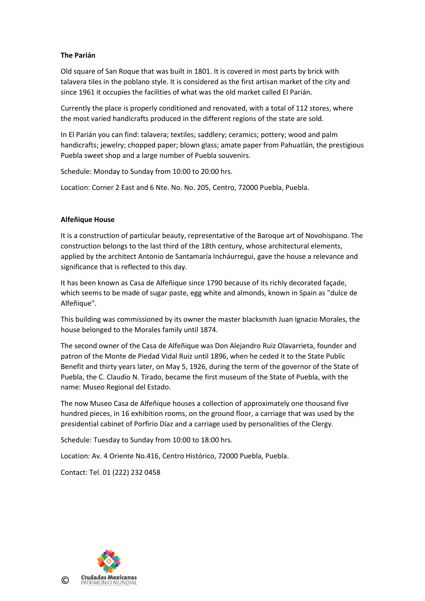# **The Parián**

Old square of San Roque that was built in 1801. It is covered in most parts by brick with talavera tiles in the poblano style. It is considered as the first artisan market of the city and since 1961 it occupies the facilities of what was the old market called El Parián.

Currently the place is properly conditioned and renovated, with a total of 112 stores, where the most varied handicrafts produced in the different regions of the state are sold.

In El Parián you can find: talavera; textiles; saddlery; ceramics; pottery; wood and palm handicrafts; jewelry; chopped paper; blown glass; amate paper from Pahuatlán, the prestigious Puebla sweet shop and a large number of Puebla souvenirs.

Schedule: Monday to Sunday from 10:00 to 20:00 hrs.

Location: Corner 2 East and 6 Nte. No. No. 205, Centro, 72000 Puebla, Puebla.

#### **Alfeñique House**

It is a construction of particular beauty, representative of the Baroque art of Novohispano. The construction belongs to the last third of the 18th century, whose architectural elements, applied by the architect Antonio de Santamaría Incháurregui, gave the house a relevance and significance that is reflected to this day.

It has been known as Casa de Alfeñique since 1790 because of its richly decorated façade, which seems to be made of sugar paste, egg white and almonds, known in Spain as "dulce de Alfeñique".

This building was commissioned by its owner the master blacksmith Juan Ignacio Morales, the house belonged to the Morales family until 1874.

The second owner of the Casa de Alfeñique was Don Alejandro Ruiz Olavarrieta, founder and patron of the Monte de Piedad Vidal Ruiz until 1896, when he ceded it to the State Public Benefit and thirty years later, on May 5, 1926, during the term of the governor of the State of Puebla, the C. Claudio N. Tirado, became the first museum of the State of Puebla, with the name: Museo Regional del Estado.

The now Museo Casa de Alfeñique houses a collection of approximately one thousand five hundred pieces, in 16 exhibition rooms, on the ground floor, a carriage that was used by the presidential cabinet of Porfirio Díaz and a carriage used by personalities of the Clergy.

Schedule: Tuesday to Sunday from 10:00 to 18:00 hrs.

Location: Av. 4 Oriente No.416, Centro Histórico, 72000 Puebla, Puebla.

Contact: Tel. 01 (222) 232 0458

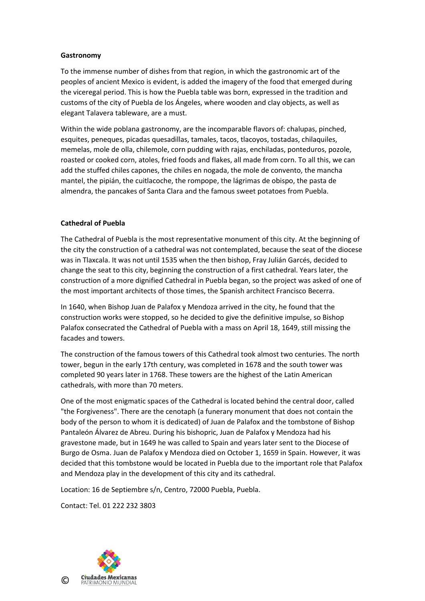## **Gastronomy**

To the immense number of dishes from that region, in which the gastronomic art of the peoples of ancient Mexico is evident, is added the imagery of the food that emerged during the viceregal period. This is how the Puebla table was born, expressed in the tradition and customs of the city of Puebla de los Ángeles, where wooden and clay objects, as well as elegant Talavera tableware, are a must.

Within the wide poblana gastronomy, are the incomparable flavors of: chalupas, pinched, esquites, peneques, picadas quesadillas, tamales, tacos, tlacoyos, tostadas, chilaquiles, memelas, mole de olla, chilemole, corn pudding with rajas, enchiladas, ponteduros, pozole, roasted or cooked corn, atoles, fried foods and flakes, all made from corn. To all this, we can add the stuffed chiles capones, the chiles en nogada, the mole de convento, the mancha mantel, the pipián, the cuitlacoche, the rompope, the lágrimas de obispo, the pasta de almendra, the pancakes of Santa Clara and the famous sweet potatoes from Puebla.

## **Cathedral of Puebla**

The Cathedral of Puebla is the most representative monument of this city. At the beginning of the city the construction of a cathedral was not contemplated, because the seat of the diocese was in Tlaxcala. It was not until 1535 when the then bishop, Fray Julián Garcés, decided to change the seat to this city, beginning the construction of a first cathedral. Years later, the construction of a more dignified Cathedral in Puebla began, so the project was asked of one of the most important architects of those times, the Spanish architect Francisco Becerra.

In 1640, when Bishop Juan de Palafox y Mendoza arrived in the city, he found that the construction works were stopped, so he decided to give the definitive impulse, so Bishop Palafox consecrated the Cathedral of Puebla with a mass on April 18, 1649, still missing the facades and towers.

The construction of the famous towers of this Cathedral took almost two centuries. The north tower, begun in the early 17th century, was completed in 1678 and the south tower was completed 90 years later in 1768. These towers are the highest of the Latin American cathedrals, with more than 70 meters.

One of the most enigmatic spaces of the Cathedral is located behind the central door, called "the Forgiveness". There are the cenotaph (a funerary monument that does not contain the body of the person to whom it is dedicated) of Juan de Palafox and the tombstone of Bishop Pantaleón Álvarez de Abreu. During his bishopric, Juan de Palafox y Mendoza had his gravestone made, but in 1649 he was called to Spain and years later sent to the Diocese of Burgo de Osma. Juan de Palafox y Mendoza died on October 1, 1659 in Spain. However, it was decided that this tombstone would be located in Puebla due to the important role that Palafox and Mendoza play in the development of this city and its cathedral.

Location: 16 de Septiembre s/n, Centro, 72000 Puebla, Puebla.

Contact: Tel. 01 222 232 3803

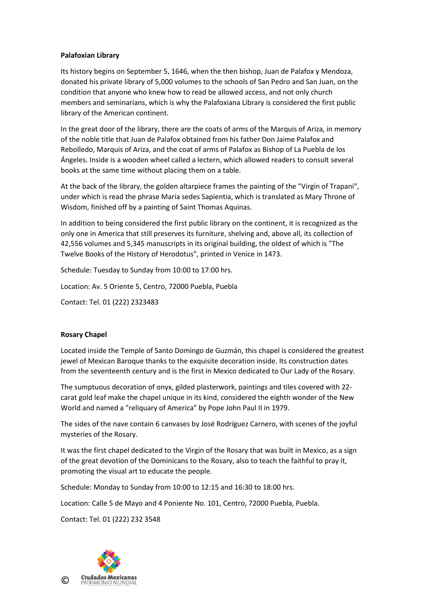## **Palafoxian Library**

Its history begins on September 5, 1646, when the then bishop, Juan de Palafox y Mendoza, donated his private library of 5,000 volumes to the schools of San Pedro and San Juan, on the condition that anyone who knew how to read be allowed access, and not only church members and seminarians, which is why the Palafoxiana Library is considered the first public library of the American continent.

In the great door of the library, there are the coats of arms of the Marquis of Ariza, in memory of the noble title that Juan de Palafox obtained from his father Don Jaime Palafox and Rebolledo, Marquis of Ariza, and the coat of arms of Palafox as Bishop of La Puebla de los Ángeles. Inside is a wooden wheel called a lectern, which allowed readers to consult several books at the same time without placing them on a table.

At the back of the library, the golden altarpiece frames the painting of the "Virgin of Trapani", under which is read the phrase Maria sedes Sapientia, which is translated as Mary Throne of Wisdom, finished off by a painting of Saint Thomas Aquinas.

In addition to being considered the first public library on the continent, it is recognized as the only one in America that still preserves its furniture, shelving and, above all, its collection of 42,556 volumes and 5,345 manuscripts in its original building, the oldest of which is "The Twelve Books of the History of Herodotus", printed in Venice in 1473.

Schedule: Tuesday to Sunday from 10:00 to 17:00 hrs.

Location: Av. 5 Oriente 5, Centro, 72000 Puebla, Puebla

Contact: Tel. 01 (222) 2323483

# **Rosary Chapel**

Located inside the Temple of Santo Domingo de Guzmán, this chapel is considered the greatest jewel of Mexican Baroque thanks to the exquisite decoration inside. Its construction dates from the seventeenth century and is the first in Mexico dedicated to Our Lady of the Rosary.

The sumptuous decoration of onyx, gilded plasterwork, paintings and tiles covered with 22 carat gold leaf make the chapel unique in its kind, considered the eighth wonder of the New World and named a "reliquary of America" by Pope John Paul II in 1979.

The sides of the nave contain 6 canvases by José Rodríguez Carnero, with scenes of the joyful mysteries of the Rosary.

It was the first chapel dedicated to the Virgin of the Rosary that was built in Mexico, as a sign of the great devotion of the Dominicans to the Rosary, also to teach the faithful to pray it, promoting the visual art to educate the people.

Schedule: Monday to Sunday from 10:00 to 12:15 and 16:30 to 18:00 hrs.

Location: Calle 5 de Mayo and 4 Poniente No. 101, Centro, 72000 Puebla, Puebla.

Contact: Tel. 01 (222) 232 3548